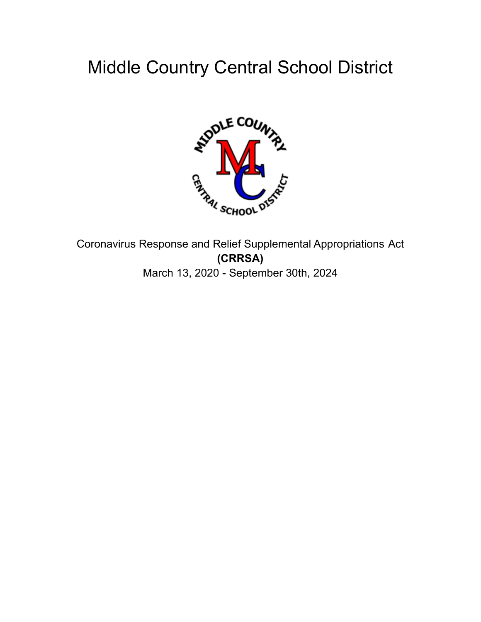# Middle Country Central School District



Coronavirus Response and Relief Supplemental Appropriations Act **(CRRSA)** March 13, 2020 - September 30th, 2024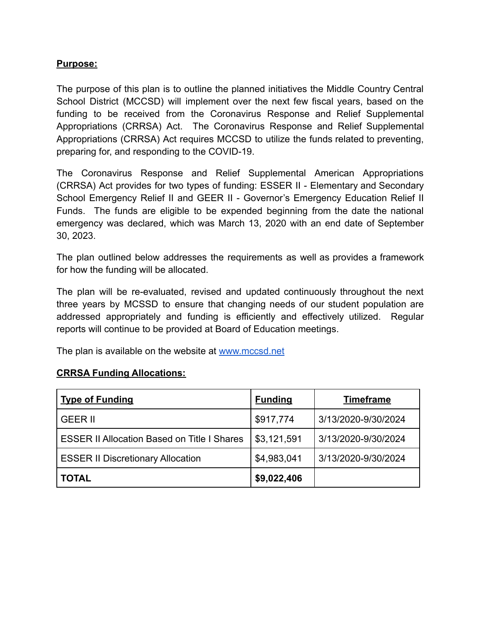#### **Purpose:**

The purpose of this plan is to outline the planned initiatives the Middle Country Central School District (MCCSD) will implement over the next few fiscal years, based on the funding to be received from the Coronavirus Response and Relief Supplemental Appropriations (CRRSA) Act. The Coronavirus Response and Relief Supplemental Appropriations (CRRSA) Act requires MCCSD to utilize the funds related to preventing, preparing for, and responding to the COVID-19.

The Coronavirus Response and Relief Supplemental American Appropriations (CRRSA) Act provides for two types of funding: ESSER II - Elementary and Secondary School Emergency Relief II and GEER II - Governor's Emergency Education Relief II Funds. The funds are eligible to be expended beginning from the date the national emergency was declared, which was March 13, 2020 with an end date of September 30, 2023.

The plan outlined below addresses the requirements as well as provides a framework for how the funding will be allocated.

The plan will be re-evaluated, revised and updated continuously throughout the next three years by MCSSD to ensure that changing needs of our student population are addressed appropriately and funding is efficiently and effectively utilized. Regular reports will continue to be provided at Board of Education meetings.

The plan is available on the website at [www.mccsd.net](http://www.mccsd.net)

#### **CRRSA Funding Allocations:**

| <b>Type of Funding</b>                             | <b>Funding</b> | <b>Timeframe</b>    |
|----------------------------------------------------|----------------|---------------------|
| <b>GEER II</b>                                     | \$917,774      | 3/13/2020-9/30/2024 |
| <b>ESSER II Allocation Based on Title I Shares</b> | \$3,121,591    | 3/13/2020-9/30/2024 |
| <b>ESSER II Discretionary Allocation</b>           | \$4,983,041    | 3/13/2020-9/30/2024 |
| <b>TOTAL</b>                                       | \$9,022,406    |                     |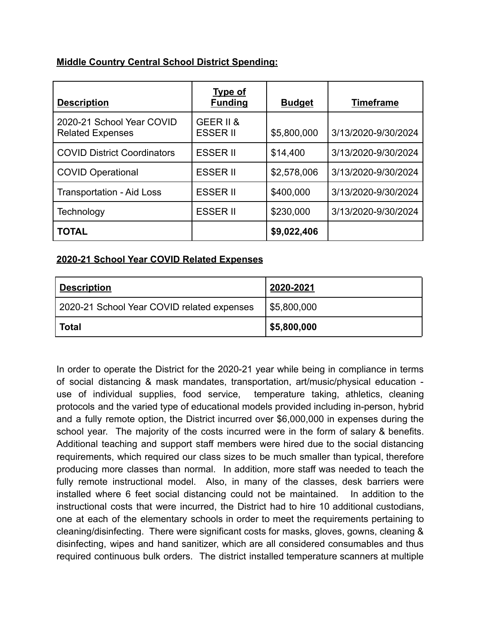# **Middle Country Central School District Spending:**

| <b>Description</b>                                   | <b>Type of</b><br><b>Funding</b> | <b>Budget</b> | <b>Timeframe</b>    |
|------------------------------------------------------|----------------------------------|---------------|---------------------|
| 2020-21 School Year COVID<br><b>Related Expenses</b> | GEER II &<br><b>ESSER II</b>     | \$5,800,000   | 3/13/2020-9/30/2024 |
| <b>COVID District Coordinators</b>                   | <b>ESSER II</b>                  | \$14,400      | 3/13/2020-9/30/2024 |
| <b>COVID Operational</b>                             | <b>ESSER II</b>                  | \$2,578,006   | 3/13/2020-9/30/2024 |
| <b>Transportation - Aid Loss</b>                     | <b>ESSER II</b>                  | \$400,000     | 3/13/2020-9/30/2024 |
| Technology                                           | <b>ESSER II</b>                  | \$230,000     | 3/13/2020-9/30/2024 |
| <b>TOTAL</b>                                         |                                  | \$9,022,406   |                     |

### **2020-21 School Year COVID Related Expenses**

| <b>Description</b>                         | 2020-2021   |
|--------------------------------------------|-------------|
| 2020-21 School Year COVID related expenses | \$5,800,000 |
| <b>Total</b>                               | \$5,800,000 |

In order to operate the District for the 2020-21 year while being in compliance in terms of social distancing & mask mandates, transportation, art/music/physical education use of individual supplies, food service, temperature taking, athletics, cleaning protocols and the varied type of educational models provided including in-person, hybrid and a fully remote option, the District incurred over \$6,000,000 in expenses during the school year. The majority of the costs incurred were in the form of salary & benefits. Additional teaching and support staff members were hired due to the social distancing requirements, which required our class sizes to be much smaller than typical, therefore producing more classes than normal. In addition, more staff was needed to teach the fully remote instructional model. Also, in many of the classes, desk barriers were installed where 6 feet social distancing could not be maintained. In addition to the instructional costs that were incurred, the District had to hire 10 additional custodians, one at each of the elementary schools in order to meet the requirements pertaining to cleaning/disinfecting. There were significant costs for masks, gloves, gowns, cleaning & disinfecting, wipes and hand sanitizer, which are all considered consumables and thus required continuous bulk orders. The district installed temperature scanners at multiple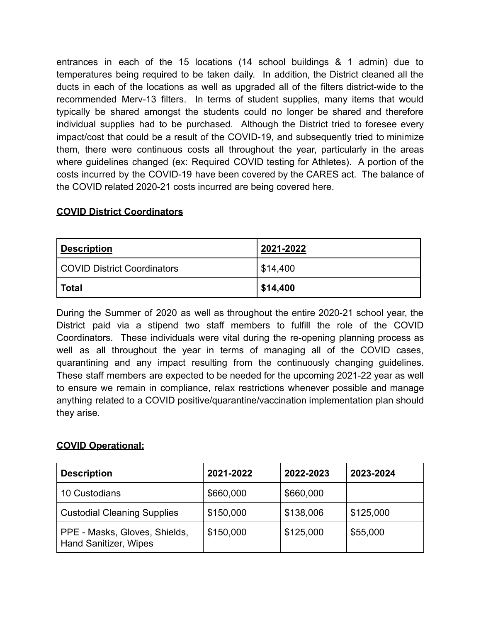entrances in each of the 15 locations (14 school buildings & 1 admin) due to temperatures being required to be taken daily. In addition, the District cleaned all the ducts in each of the locations as well as upgraded all of the filters district-wide to the recommended Merv-13 filters. In terms of student supplies, many items that would typically be shared amongst the students could no longer be shared and therefore individual supplies had to be purchased. Although the District tried to foresee every impact/cost that could be a result of the COVID-19, and subsequently tried to minimize them, there were continuous costs all throughout the year, particularly in the areas where guidelines changed (ex: Required COVID testing for Athletes). A portion of the costs incurred by the COVID-19 have been covered by the CARES act. The balance of the COVID related 2020-21 costs incurred are being covered here.

# **COVID District Coordinators**

| <b>Description</b>                 | 2021-2022              |
|------------------------------------|------------------------|
| <b>COVID District Coordinators</b> | $\frac{1}{2}$ \$14,400 |
| Total                              | \$14,400               |

During the Summer of 2020 as well as throughout the entire 2020-21 school year, the District paid via a stipend two staff members to fulfill the role of the COVID Coordinators. These individuals were vital during the re-opening planning process as well as all throughout the year in terms of managing all of the COVID cases, quarantining and any impact resulting from the continuously changing guidelines. These staff members are expected to be needed for the upcoming 2021-22 year as well to ensure we remain in compliance, relax restrictions whenever possible and manage anything related to a COVID positive/quarantine/vaccination implementation plan should they arise.

### **COVID Operational:**

| <b>Description</b>                                            | 2021-2022 | 2022-2023 | 2023-2024 |
|---------------------------------------------------------------|-----------|-----------|-----------|
| 10 Custodians                                                 | \$660,000 | \$660,000 |           |
| <b>Custodial Cleaning Supplies</b>                            | \$150,000 | \$138,006 | \$125,000 |
| PPE - Masks, Gloves, Shields,<br><b>Hand Sanitizer, Wipes</b> | \$150,000 | \$125,000 | \$55,000  |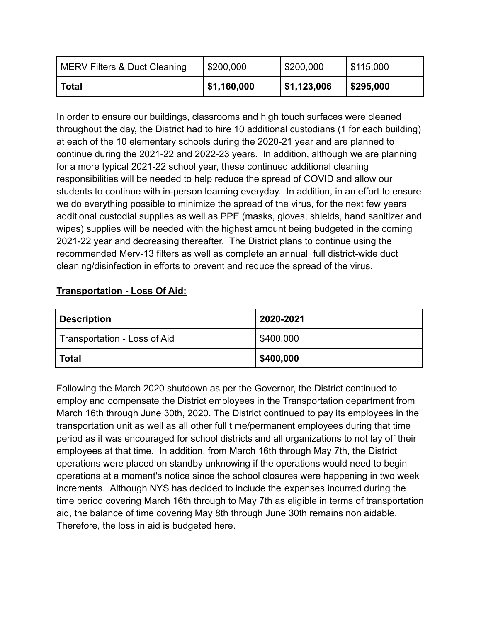| MERV Filters & Duct Cleaning | \$200,000   | \$200,000   | \$115,000 |
|------------------------------|-------------|-------------|-----------|
| <b>Total</b>                 | \$1,160,000 | \$1,123,006 | \$295,000 |

In order to ensure our buildings, classrooms and high touch surfaces were cleaned throughout the day, the District had to hire 10 additional custodians (1 for each building) at each of the 10 elementary schools during the 2020-21 year and are planned to continue during the 2021-22 and 2022-23 years. In addition, although we are planning for a more typical 2021-22 school year, these continued additional cleaning responsibilities will be needed to help reduce the spread of COVID and allow our students to continue with in-person learning everyday. In addition, in an effort to ensure we do everything possible to minimize the spread of the virus, for the next few years additional custodial supplies as well as PPE (masks, gloves, shields, hand sanitizer and wipes) supplies will be needed with the highest amount being budgeted in the coming 2021-22 year and decreasing thereafter. The District plans to continue using the recommended Merv-13 filters as well as complete an annual full district-wide duct cleaning/disinfection in efforts to prevent and reduce the spread of the virus.

# **Transportation - Loss Of Aid:**

| <u>  Description</u>         | 2020-2021 |
|------------------------------|-----------|
| Transportation - Loss of Aid | \$400,000 |
| <b>Total</b>                 | \$400,000 |

Following the March 2020 shutdown as per the Governor, the District continued to employ and compensate the District employees in the Transportation department from March 16th through June 30th, 2020. The District continued to pay its employees in the transportation unit as well as all other full time/permanent employees during that time period as it was encouraged for school districts and all organizations to not lay off their employees at that time. In addition, from March 16th through May 7th, the District operations were placed on standby unknowing if the operations would need to begin operations at a moment's notice since the school closures were happening in two week increments. Although NYS has decided to include the expenses incurred during the time period covering March 16th through to May 7th as eligible in terms of transportation aid, the balance of time covering May 8th through June 30th remains non aidable. Therefore, the loss in aid is budgeted here.